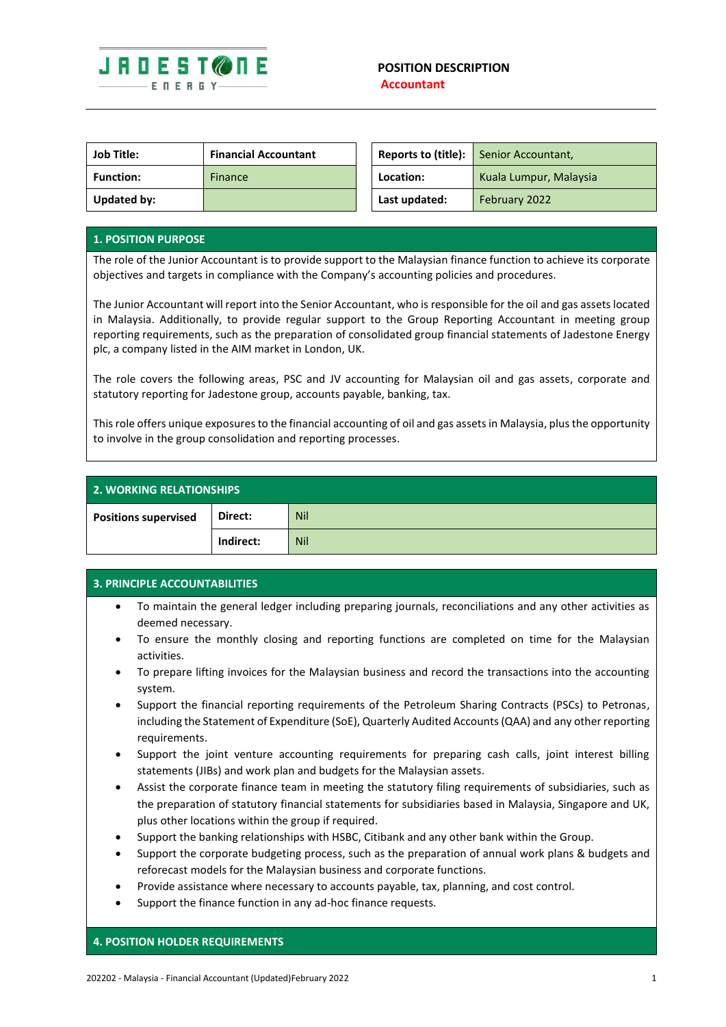

| <b>Job Title:</b> | <b>Financial Accountant</b> |               | <b>Reports to (title):</b> Senior Accountant, |
|-------------------|-----------------------------|---------------|-----------------------------------------------|
| <b>Function:</b>  | Finance                     | Location:     | Kuala Lumpur, Malaysia                        |
| Updated by:       |                             | Last updated: | February 2022                                 |

## **1. POSITION PURPOSE**

The role of the Junior Accountant is to provide support to the Malaysian finance function to achieve its corporate objectives and targets in compliance with the Company's accounting policies and procedures.

The Junior Accountant will report into the Senior Accountant, who is responsible for the oil and gas assets located in Malaysia. Additionally, to provide regular support to the Group Reporting Accountant in meeting group reporting requirements, such as the preparation of consolidated group financial statements of Jadestone Energy plc, a company listed in the AIM market in London, UK.

The role covers the following areas, PSC and JV accounting for Malaysian oil and gas assets, corporate and statutory reporting for Jadestone group, accounts payable, banking, tax.

This role offers unique exposuresto the financial accounting of oil and gas assets in Malaysia, plus the opportunity to involve in the group consolidation and reporting processes.

| <b>2. WORKING RELATIONSHIPS</b> |           |            |  |  |
|---------------------------------|-----------|------------|--|--|
| <b>Positions supervised</b>     | Direct:   | <b>Nil</b> |  |  |
|                                 | Indirect: | <b>Nil</b> |  |  |

## **3. PRINCIPLE ACCOUNTABILITIES**

- To maintain the general ledger including preparing journals, reconciliations and any other activities as deemed necessary.
- To ensure the monthly closing and reporting functions are completed on time for the Malaysian activities.
- To prepare lifting invoices for the Malaysian business and record the transactions into the accounting system.
- Support the financial reporting requirements of the Petroleum Sharing Contracts (PSCs) to Petronas, including the Statement of Expenditure (SoE), Quarterly Audited Accounts (QAA) and any other reporting requirements.
- Support the joint venture accounting requirements for preparing cash calls, joint interest billing statements (JIBs) and work plan and budgets for the Malaysian assets.
- Assist the corporate finance team in meeting the statutory filing requirements of subsidiaries, such as the preparation of statutory financial statements for subsidiaries based in Malaysia, Singapore and UK, plus other locations within the group if required.
- Support the banking relationships with HSBC, Citibank and any other bank within the Group.
- Support the corporate budgeting process, such as the preparation of annual work plans & budgets and reforecast models for the Malaysian business and corporate functions.
- Provide assistance where necessary to accounts payable, tax, planning, and cost control.
- Support the finance function in any ad-hoc finance requests.

## **4. POSITION HOLDER REQUIREMENTS**